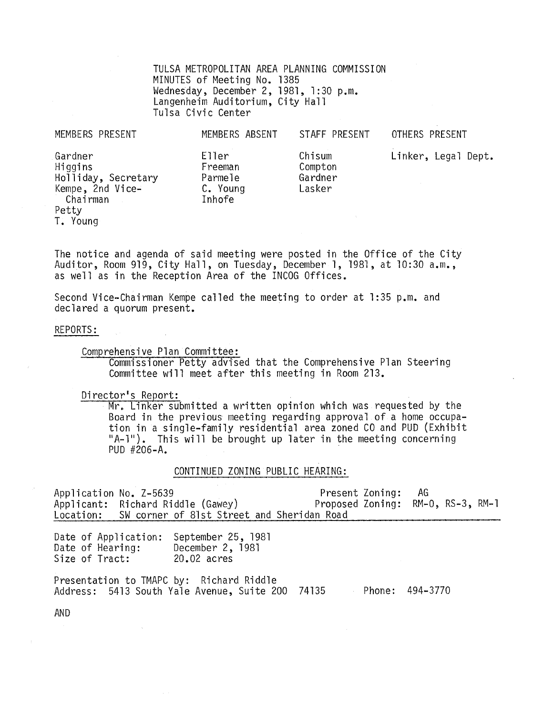TULSA METROPOLITAN AREA PLANNING COMMISSION MINUTES of Meeting No. 1385 Wednesday, December 2, 1981, 1: 30 p.m. Langenheim Auditorium, City Hall Tulsa Civic Center

| MEMBERS PRESENT                                                                                | MEMBERS ABSENT                                    | STAFF PRESENT                          | OTHERS PRESENT      |
|------------------------------------------------------------------------------------------------|---------------------------------------------------|----------------------------------------|---------------------|
| Gardner<br>Higgins<br>Holliday, Secretary<br>Kempe, 2nd Vice-<br>Chairman<br>Petty<br>T. Young | Eller<br>Freeman<br>Parmele<br>C. Young<br>Inhofe | Chisum<br>Compton<br>Gardner<br>Lasker | Linker, Legal Dept. |

The notice and agenda of said meeting were posted in the Office of the City Auditor, Room 919, City Hall, on Tuesday, December 1, 1981, at 10:30 a.m., as well as in the Reception Area of the INCOG Offices.

Second Vice-Chairman Kempe called the meeting to order at 1:35 p.m. and declared a quorum present.

#### REPORTS:

Comprehensive Plan Committee:

Commissioner Petty advised that the Comprehensive Plan Steering Committee will meet after this meeting in Room 213.

Director's Report:

Mr. Linker submitted a written opinion which was requested by the Board in the previous meeting regarding approval of a home occupation in a single-family residential area zoned CO and PUD (Exhibit "A-l"). This will be brought up later in the meeting concerning PUD  $#206-A$ .

CONTINUED ZONING PUBLIC HEARING:

| Application No. Z-5639                                     | Applicant: Richard Riddle (Gawey)<br>Location: SW corner of 81st Street and Sheridan Road    | Present Zoning:<br>Proposed Zoning: RM-0, RS-3, RM-1 |                 | AG A |  |
|------------------------------------------------------------|----------------------------------------------------------------------------------------------|------------------------------------------------------|-----------------|------|--|
| Date of Application:<br>Date of Hearing:<br>Size of Tract: | September 25, 1981<br>December 2, 1981<br>20.02 acres                                        |                                                      |                 |      |  |
|                                                            | Presentation to TMAPC by: Richard Riddle<br>Address: 5413 South Yale Avenue, Suite 200 74135 |                                                      | Phone: 494-3770 |      |  |

AND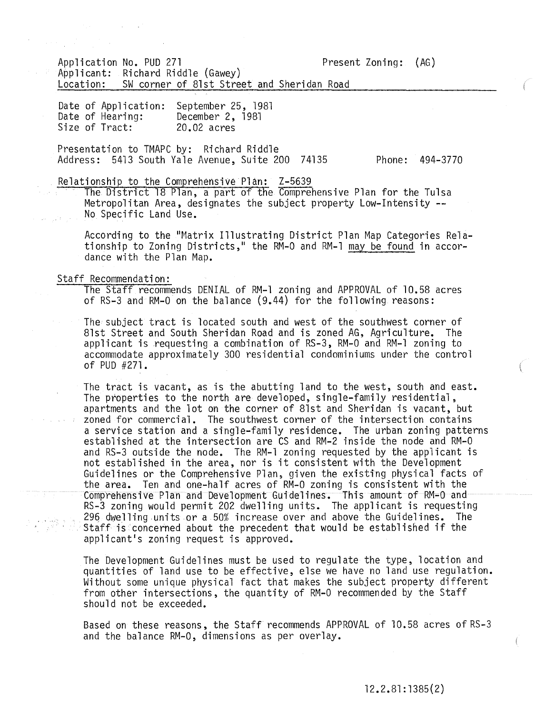Application No. PUD 271 Present Zoning: (AG) Applicant: Richard Riddle (Gawey) Location: SW corner of 81st Street and Sheridan Road

Date of Application: Date of Hearing: Size of Tract: September 25, 1981 December 2, 1981 20.02 acres

Presentation to TMAPC by: Richard Riddle Address: 5413 South Yale Avenue, Suite 200 74135 Phone: 494-3770

Relationship to the Comprehensive Plan: Z-5639

The District 18 Plan, a part of the Comprehensive Plan for the Tulsa Metropolitan Area, designates the subject property Low-Intensity **--** No Specific Land Use.

According to the "Matrix Illustrating District Plan Map Categories Relationship to Zoning Districts," the RM-0 and RM-1 may be found in accordance with the Plan Map.

Staff Recommendation:

The Staff recommends DENIAL of RM-1 zoning and APPROVAL of 10.58 acres of RS-3 and RM-O on the balance (9.44) for the following reasons:

The subject tract is located south and west of the southwest corner of 81st Street and South Sheridan Road and is zoned AG, Agriculture. The applicant is requesting a combination of RS-3, RM-O and RM-l zoning to accommodate approximately 300 residential condominiums under the control of PUD #271.

The tract is vacant, as is the abutting land to the west, south and east. The properties to the north are developed, single-family residential, apartments and the lot on the corner of 8lst and Sheridan is vacant, but zoned for commercial. The southwest corner of the intersection contains a service station and a single-family residence. The urban zoning patterns established at the intersection are CS and RM-2 inside the node and RM-O and RS-3 outside the node. The RM-l zoning requested by the applicant is not established in the area, nor is it consistent with the Development Guidelines or the Comprehensive Plan, given the existfng physical facts of the area. Ten and one-half acres of RM-O zoning is consistent with the Comprehensive Plan and Development Guidelines. This amount of RM-O and RS-3 zoning would permit 202 dwelling units. The applicant is requesting 296 dwelling units or a 50% increase over and above the Guidelines. The Staff is 'concerned about the precedent that would be established if the applicant's zoning request is approved.

The Development Guidelines must be used to regulate the type, location and quantities of land use to be effective, else we have no land use regulation. Without some unique physical fact that makes the subject property different from other intersections, the quantity of RM-O recommended by the Staff should not be exceeded.

Based on these reasons, the Staff recommends APPROVAL of 10.58 acres of RS-3 and the balance RM-O, dimensions as per overlay.

€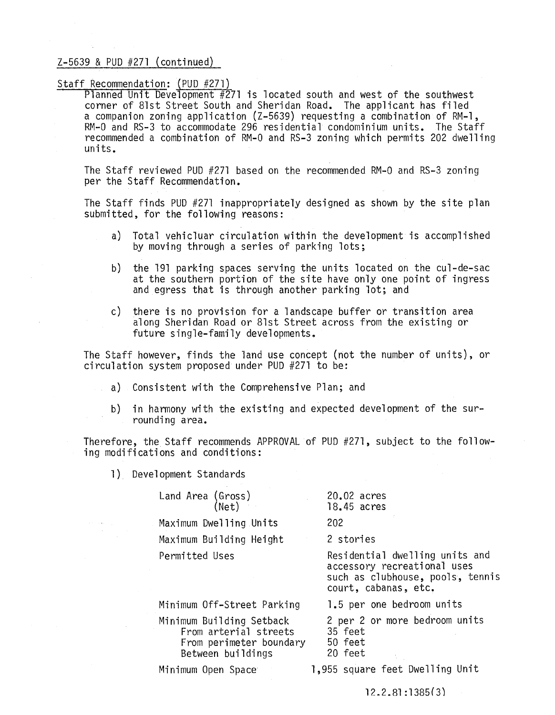# Staff Recommendation: (PUD #271)

Planned Unit Development  $#271$  is located south and west of the southwest corner of 8lst Street South and Sheridan Road. The applicant has filed a companion zoning application (Z-5639) requesting a combination of RM-l, RM-O and RS-3 to accommodate 296 residential condominium units. The Staff recommended a combination of RM-O and RS-3 zoning which permits 202 dwelling units.

The Staff reviewed PUD #271 based on the recommended RM-O and RS-3 zoning per the Staff Recommendation.

The Staff finds PUD #271 inappropriately designed as shown by the site plan submitted, for the following reasons:

- a) Total vehicluar circulation within the development is accomplished by moving through a series of parking lots;
- b) the 191 parking spaces serving the units located on the cul-de-sac at the southern portion of the site have only one point of ingress and egress that is through another parking lot; and
- c) there is no provision for a landscape buffer or transition area along Sheridan Road or 81st Street across from the existing or future single-family developments.

The Staff however, finds the land use concept (not the number of units), or circulation system proposed under PUD #271 to be:

- a) Consistent with the Comprehensive Plan; and
- b) in harmony with the existing and expected development of the surrounding area.

Therefore, the Staff recommends APPROVAL of PUD #271, subject to the following modifications and conditions:

1) Development Standards

Land Area (Gross) (Net) Maximum Dwelling Units

Maximum Building Height

Permitted Uses

20.02 acres 18.45 acres

202

2 stories

Residential dwelling units and accessory recreational uses such as clubhouse, pools, tennis court, cabanas, etc.

Minimum Off-Street Parking

Minimum Building Setback From arterial streets From perimeter boundary Between buildings

Minimum Open Space

1.5 per one bedroom units 2 per 2 or more bedroom units

- 35 feet
- 50 feet
- 20 feet

1,955 square feet Dwelling Unit

 $12.2.81:1385(3)$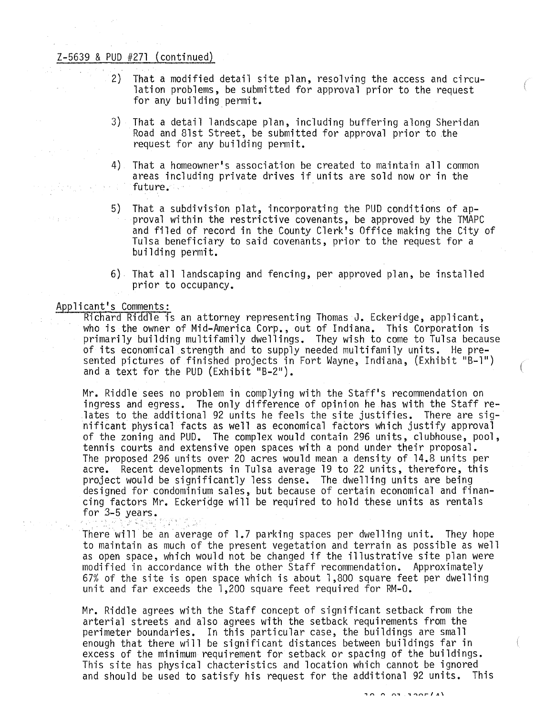- 2) That a modified detail site plan, resolving the access and circulation problems, be submitted for approval prior to the request for any building permit.
- 3) That a detail landscape plan, including buffering along Sheridan Road and Blst Street, be submitted for approval prior to the request for any building permit.
- 4) That a homeowner's association be created to maintain all common areas including private drives if units are sold now or in the future.
- 5) That a subdivision plat, incorporating the PUD conditions of ap- proval within the restrictive covenants, be approved by the TMAPC and filed of record in the County Clerk's Office making the City of Tulsa beneficiary to said covenants, prior to the request for a building permit.
- 6) That all landscaping and fencing, per approved plan, be installed prior to occupancy\_

#### Applicant's Comments:

Richard Riddle is an attorney representing Thomas J. Eckeridge, applicant, who is the owner of Mid-America Corp., out of Indiana. This Corporation is primarily building multifamily dwellings. They wish to come to Tulsa because<br>of its economical strength and to supply needed multifamily units. He presented pictures of finished projects in Fort Wayne, Indiana, (Exhibit "B-l") and a text for the PUD (Exhibit "B-2").

Mr. Riddle sees no problem in complying with the Staff's recommendation on ingress and egress. The only difference of opinion he has with the Staff relates to the additional 92 units he feels the site justifies. There are sig- nificant physical facts as well as economical faCtors which justify approval of the zoning and PUD. The complex would contain 296 units, clubhouse, pool, tennis courts and extensive open spaces with a pond under their proposal. The proposed 296 units over 20 acres would mean a density of l4.B units per acre. Recent developments in Tulsa average 19 to 22 units, therefore, this project would be significantly less dense. The dwelling units are being designed for condominium sales, but because of certain economical and financing factors Mr. Eckeridge will be required to hold these units as rentals for 3-5 years.

There will be an average of 1.7 parking spaces per dwelling unit. They hope to maintain as much of the present vegetation and terrain as possible as well as open space, which would not be changed if the illustrative site plan were modified in accordance with the other Staff recommendation. Approximately 67% of the site is open space which is about 1,800 square feet per dwelling unit and far exceeds the 1,200 square feet required for RM-O.

Mr. Riddle agrees with the Staff concept of significant setback from the arterial streets and also agrees with the setback requirements from the perimeter boundaries. In this particular case, the buildings are small enough that there will be significant distances between buildings far in excess of the minimum requirement for setback or spacing of the buildings. This site has physical chacteristics and location which cannot be ignored and should be used to satisfy his request for the additional 92 units. This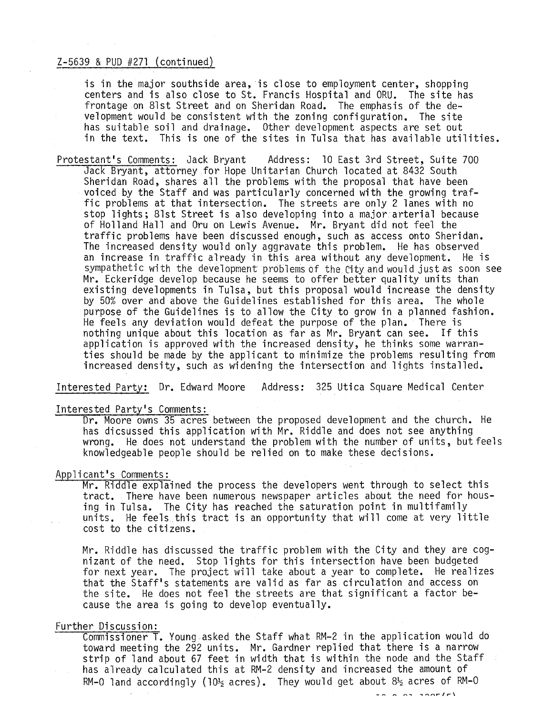is in the major southside area, is close to employment center, shopping centers and is also close to St. Francis Hospital and ORU. The site has frontage on 81st Street and on Sheridan Road. The emphasis of the development would be consistent with the zoning configuration. The site has suitable soil and drainage. Other development aspects are set out in the text. This is one of the sites in Tulsa that has available utilities.

Protestant's Comments: Jack Bryant Address: 10 East 3rd Street, Suite 700 Jack Bryant, attorney for Hope Unitarian Church located at 8432 South Sheridan Road, shares all the problems with the proposal that have been voiced by the Staff and was particularly concerned with the growing traffic problems at that intersection. The streets are only 2 lanes with no stop lights; 81st Street is also developing into a major arterial because of Holland Hall and Oru on Lewis Avenue. Mr. Bryant did not feel the traffic problems have been discussed enough, such as access onto Sheridan. The increased density would only aggravate this problem. He has observed an increase in traffic already in this area without any development. He is sympathetic with the development problems of the City and would just as soon see Mr. Eckeridge develop because he seems to offer better quality units than existing developments in Tulsa, but this proposal would increase the density by 50% over and above the Guidelines established for this area. The whole purpose of the Guidelines is to allow the City to grow in a planned fashion. He feels any deviation would defeat the purpose of the plan. There is nothing unique about this location as far as Mr. Bryant can see. If this application is approved with the increased density, he thinks some warranties should be made by the applicant to minimize the problems resulting from increased density, such as widening the intersection and lights installed.

Interested Party: Dr. Edward Moore Address: 325 Utica Square Medical Center

# Interested Party's Comments:

Dr. Moore owns 35 acres between the proposed development and the church. He has dicsussed this application with Mr. Riddle and does not see anything wrong. He does not understand the problem with the number of units, but feels knowledgeable people should be relied on to make these decisions.

#### Applicant's Comments:

Mr. Riddle explained the process the developers went through to select this tract. There have been numerous newspaper articles about the need for housing in Tulsa. The City has reached the saturation point in multifamily units. He feels this tract is an opportunity that will come at very little cost to the citizens.

Mr. Riddle has discussed the traffic problem with the City and they are cog-<br>nizant of the need. Stop lights for this intersection have been budgeted for next year. The project will take about a year to complete. He realizes that the Staff's statements are valid as far as circulation and access on the site. He does not feel the streets are that significant a factor because the area is going to develop eventually.

#### Further Discussion:

Commissioner T. Young asked the Staff what RM-2 in the application would do toward meeting the 292 units. Mr. Gardner replied that there is a narrow strip of land about 67 feet in width that is within the node and the Staff has already calculated this at RM-2 density and increased the amount of RM-0 land accordingly (10 $\frac{1}{2}$  acres). They would get about  $8\frac{1}{2}$  acres of RM-0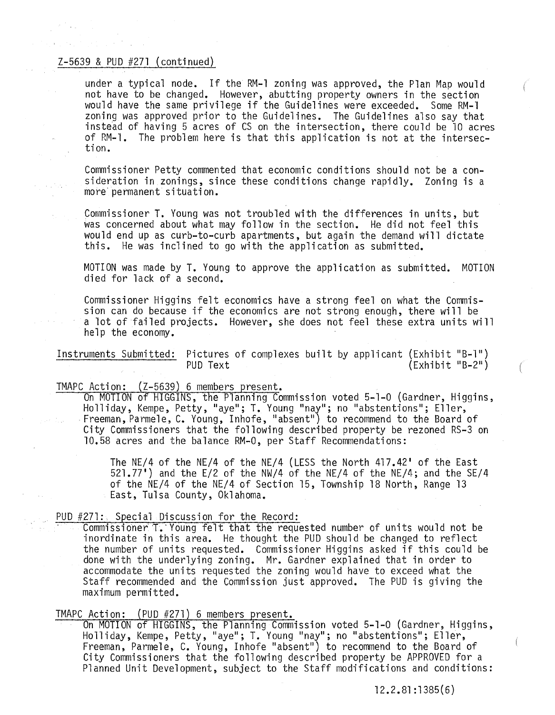under a typical node. If the RM-l zoning was approved, the Plan Map would not have to be changed. However, abutting property owners in the section would have the same privilege if the Guidelines were exceeded. Some RM-l zoning was approved prior to the Guidelines. The Guidelines also say that instead of having 5 acres of CS on the intersection, there could be 10 acres of RM-l. The problem here is that this application is not at the intersection.

Commissioner Petty commented that economic conditions should not be a consideration in zonings, since these conditions change rapidly. Zoning is a more' permanent situation.

Commissioner T. Young was not troubled with the differences in units, but was concerned about what may follow in the section. He did not feel this would end up as curb-to-curb apartments, but again the demand will dictate this. He was inclined to go with the application as submitted.

MOTION was made by **T.** Young to approve the application as submitted. MOTION died for lack of a second.

Commissioner Higgins felt economics have a strong feel on what the Commission can do because if the economics are not strong enough, there will be a lot of failed projects. However, she does not feel these extra units wi 11 help the economy.

Instruments Submitted: Pictures of complexes built by applicant (Exhibit "B\_1")  $(Exhibit "B-2")$ 

TMAPC Action: (Z-5639) 6 members present.<br>On MOTION of HIGGINS, the Planning Commission voted 5-1-0 (Gardner, Higgins,<br>Holliday, Kempe, Petty, "aye"; T. Young "nay"; no "abstentions"; Eller, Freeman, Parmele, C. Young, Inhofe, "absent") to recommend to the Board of City Commissioners that the following described property be rezoned RS-3 on 10.58 acres and the balance RM-O, per Staff Recommendations:

> The NE/4 of the NE/4 of the NE/4 (LESS the North 417.42' of the East 521.77') and the E/2 of the NW/4 of the NE/4 of the NE/4; and the SE/4 of the NE/4 of the NE/4 of Section 15, Township 18 North, Range 13 East, Tulsa County, Oklahoma.

#### PUD #271: Special Discussion for the Record:

Commissioner T. Young felt that the requested number of units would not be inordinate in this area. He thought the PUD should be changed to reflect the number of units requested. Commissioner Higgins asked if this could be done with the underlying zoning. Mr. Gardner explained that in order to accommodate the units requested the zoning would have to exceed what the Staff recommended and the Commission just approved. The PUD is giving the maximum permitted.

TMAPC Action: (PUD #271) 6 members present.<br>On MOTION of HIGGINS, the Planning Commission voted 5-1-0 (Gardner, Higgins, On MOTION of HIGGINS, the Planning Commission voted 5-1-0 (Gardner, Higgins,<br>Holliday, Kempe, Petty, "aye"; T. Young "nay"; no "abstentions"; Eller, Freeman, Parmele, C. Young, Inhofe "absent") to recommend to the Board of City Commissioners that the following described property be APPROVED for a Planned Unit Development, subject to the Staff modifications and conditions:

12.2.81 :1385(6)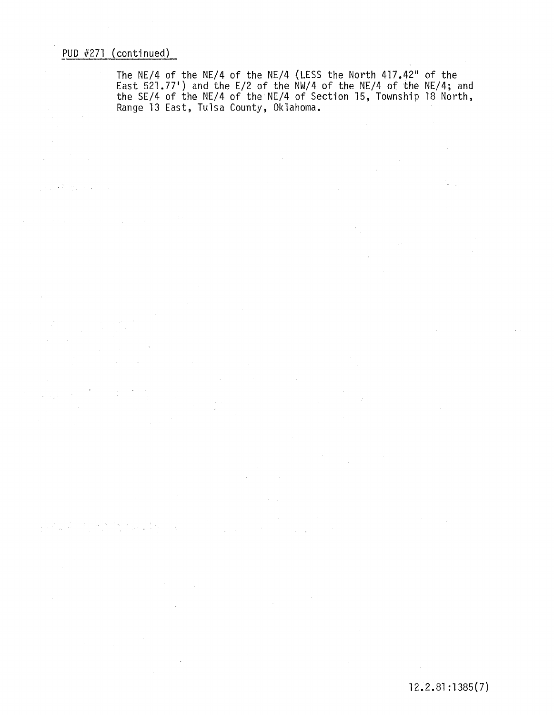$\sim$ 

 $\sqrt{N_{\rm B}}\approx 10$ 

经运输信息

 $\mathcal{L}(\mathcal{F})$  and  $\mathcal{H}(\mathcal{F})$  are also assumed in the  $\mathcal{L}(\mathcal{F})$ 

 $\alpha$  , and the state of the state of the state  $\alpha$  , and  $\alpha$  , and  $\alpha$ 

 $\mathcal{L}(\mathcal{C}_1,\mathcal{C}_2,\mathcal{C}_3,\mathcal{C}_4,\mathcal{C}_5,\mathcal{C}_6,\mathcal{C}_7)$ 

 $\sim$   $\sim$ 

 $\sim 10$ 

The NE/4 of the NE/4 of the NE/4 (LESS the North 417.42" of the East 521.77') and the E/2 of the NW/4 of the NE/4 of the NE/4; and the SE/4 of the NE/4 of the NE/4 of Section 15, Township 18 North, Range 13 East, Tulsa County, Oklahoma.

 $\mathcal{A}$ 

 $\alpha = \frac{1}{2}$ 

 $\mathcal{L}_{\mathcal{A}}$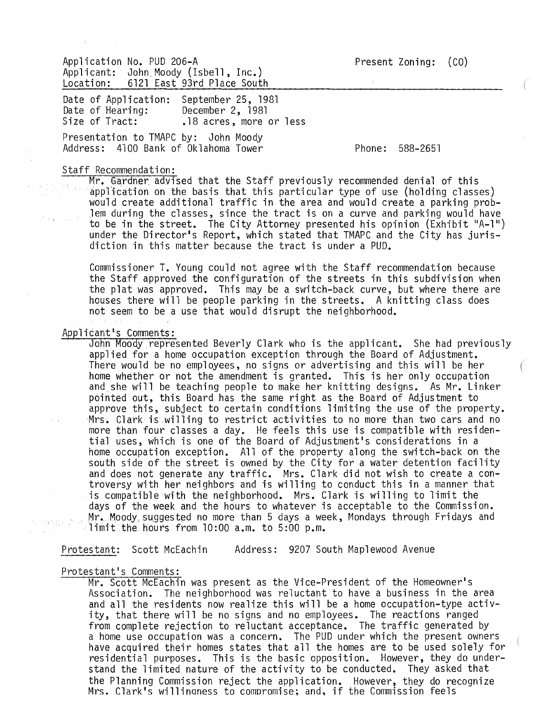Application No. PUD 206-A Applicant: John Moody (Isbell, Inc.)<br>Location: 6121 East 93rd Place South 6121 East 93rd Place South

Date of Application: September 25, 1981<br>Date of Hearing: December 2. 1981 Date of Hearing: December 2, 1981<br>Size of Tract: 18 acres. more .18 acres, more or less

Presentation to TMAPC by: John Moody Address: 4100 Bank of Oklahoma Tower

Phone: 588-2651

#### Staff Recommendation:

Mr. Gardner. advised that the Staff previously recommended denial of this application on the basis that this particular type of use (holding classes) would create additional traffic in the area and would create a parking prob-Jem during the classes, since the tract is on a curve and parking would have to be in the street. The City Attorney presented his opinion (Exhibit "A-1") under the Director's Report, which stated that TMAPC and the City has jurisdiction in this matter because the tract is under a PUD.

Commissioner **T.** Young could not agree with the Staff recommendation because the Staff approved the configuration of the streets in this subdivision when the plat was approved. This may be a switch-back curve, but where there are houses there will be people parking in the streets. A knitting class does not seem to be a use that would disrupt the neighborhood.

#### Applicant's Comments:

John Moody represented Beverly Clark who is the applicant. She had previously applied for a home occupation exception through the Board of Adjustment. There would be no employees, no signs or advertising and this will be her home whether or not the amendment is granted. This is her only occupation and she will be teaching people to make her knitting designs. As Mr. Linker pointed out, this Board has the same right as the Board of Adjustment to approve this, subject to certain conditions limiting the use of the property. Mrs. Clark is willing to restrict activities to no more than two cars and no more than four classes a day. He feels this use is compatible with residential uses, which is one of the Board of Adjustment's considerations in a home occupation exception. All of the property along the switch-back on the south side of the street is owned by the City for a water detention facility and does not generate any traffic. Mrs. Clark did not wish to create a controversy with her neighbors and is willing to conduct this in a manner that is compatible with the neighborhood. Mrs. Clark is willing to limit the days of the week and the hours to whatever is acceptable to the Commission. Mr. Moody suggested no more than 5 days a week, Mondays through Fridays and limit the hours from 10:00 a.m. to 5:00 p.m.

Protestant: Scott McEachin Address: 9207 South Maplewood Avenue

# Protestant's Comments:

Mr. Scott McEachin was present as the Vice-President of the Homeowner's Association. The neighborhood was reluctant to have a business in the area and all the residents now realize this will be a home occupation-type activity, that there will be no signs and no employees. The reactions ranged from complete rejection to reluctant acceptance. The traffic generated by a home use occupation was a concern. The PUD under which the present owners have acquired their homes states that all the homes are to be used solely for residential purposes. This is the basic opposition. However, they do understand the limited nature of the activity to be conducted. They asked that the Planning Commission reject the application. However, they do recognize Mrs. CTark's willinquess to compromise; and, if the Commission feels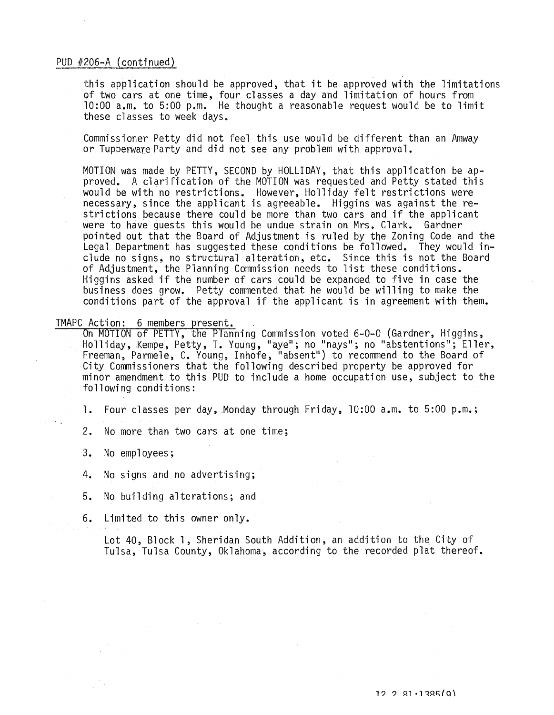### PUD #206-A (continued)

this application should be approved, that it be approved with the limitations of two cars at one time, four classes a day and limitation of hours from 10:00 a.m. to 5:00 p.m. He thought a reasonable request would be to limit these classes to week days.

Commissioner Petty did not feel this use would be different than an Amway or Tupperware Party and did not see any problem with approval.

MOTION was made by PETTY, SECOND by HOLLIDAY, that this application be approved. A clarification of the MOTION was requested and Petty stated this would be with no restrictions. However, Holliday felt restrictions were necessary, since the applicant is agreeable. Higgins was against the restrictions because there could be more than two cars and if the applicant were to have guests this would be undue strain on Mrs. Clark. Gardner pointed out that the Board of Adjustment is ruled by the Zoning Code and the Legal Department has suggested these conditions be followed. They would include no signs, no structural alteration, etc. Since this is not the Board of Adjustment, the Planning Commission needs to list these conditions. Higgins asked if the number of cars could be expanded to five in case the business does grow. Petty commented that he would be willing to make the conditions part of the approval if the applicant is in agreement with them.

TMAPC Action: 6 members present.<br>On MOTION of PETTY, the Planning Commission voted 6-0-0 (Gardner, Higgins, Holliday, Kempe, Petty, T. Young, "ayell ; no "naysll; no "abstentions!!; Eller, Freeman, Parmele, C. Young, Inhofe, lIabsent") to recommend to the Board of City Commissioners that the following described property be approved for minor amendment to this PUD to include a home occupation use, subject to the following conditions:

1. Four classes per day, Monday through Friday, 10:00 a.m. to 5:00 p.m.;

2. No more than two cars at one time;

3. No employees;

4. No signs and no advertising;

- 5. No building alterations; and
- 6. Limited to this owner only.

Lot 40, Block 1, Sheridan South Addition, an addition to the City of Tulsa, Tulsa County, Oklahoma, according to the recorded plat thereof.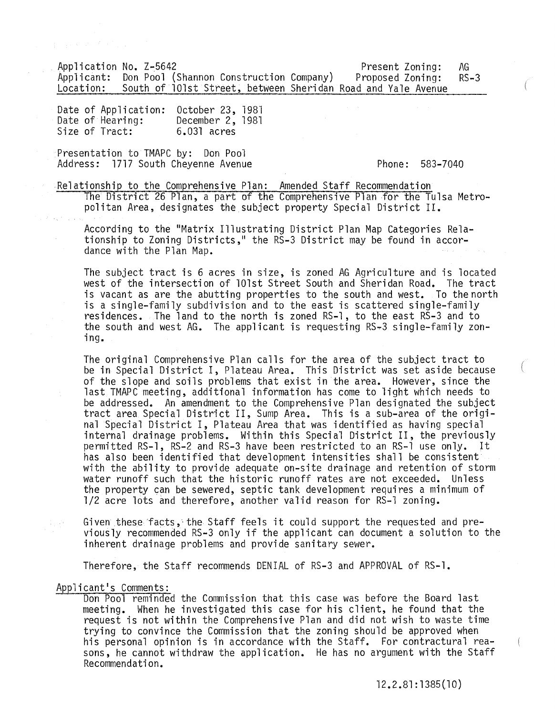Application No. Z-5642<br>Applicant: Don Pool (Shannon Construction Company) Proposed Zoning: RS-3 Applicant: Don Pool (Shannon Construction Company)<br>Location: South of 101st Street, between Sheridan South of 101st Street, between Sheridan Road and Yale Avenue

Date of Application: Date of Hearing: Size of Tract: October 23, 1981 December 2, 1981 6.031 acres

Presentation to TMAPC by: Don Pool Address: 1717 South Cheyenne Avenue Phone: 583-7040

Relationship to the Comprehensive Plan: Amended Staff Recommendation

The District 26 Plan, a part of the Comprehensive Plan for the Tulsa Metropolitan Area, designates the subject property Special District II.

According to the "Matrix Illustrating District Plan Map Categories Relationship to Zoning Districts," the RS-3 District may be found in accordance with the Plan Map.

The subject tract is 6 acres in size, is zoned AG Agriculture and is located west of the intersection of 101st Street South and Sheridan Road. The tract is vacant as are the abutting properties to the south and west. To the north is a single-family subdivision and to the east is scattered single-family residences. The land to the north is zoned RS-1, to the east RS-3 and to the south and west AG. The applicant is requesting RS~3 single-family zoning.

The original Comprehensive Plan calls for the area of the subject tract to be in Special District I, Plateau Area. This District was set aside because of the slope and soils problems that exist in the area. However, since the last TMAPC meeting, additional information has come to light which needs to be addressed. An amendment to the Comprehensive Plan designated the subject tract area Special District II, Sump Area. This is a sub-area of the original Special District I, Plateau Area that was identified as having special internal drainage problems. Within this Special District II, the previously permitted RS-l, RS-2 and RS-3 have been restricted to an RS-l use only. It has also been identified that development intensities shall be consistent with the ability to provide adequate on-site drainage and retention of storm water runoff such that the historic runoff rates are not exceeded. Unless the property can be sewered, septic tank development requires a minimum of 1/2 acre lots and therefore, another valid reason for RS-l zoning.

Given these facts, the Staff feels it could support the requested and pre- viously recommended RS-3 only if the applicant can document a solution to the inherent drainage problems and provide sanitary sewer.

Therefore, the Staff recommends DENIAL of RS-3 and APPROVAL of RS-l.

#### Applicant's Comments:

Don Pool reminded the Commission that this case was before the Board last meeting. When he investigated this case for his client, he found that the request is not within the Comprehensive Plan and did not wish to waste time trying to convince the Commission that the zoning should be approved when his personal opinion is in accordance with the Staff. For contractural reasons, he cannot withdraw the application. He has no argument with the Staff Recommendation.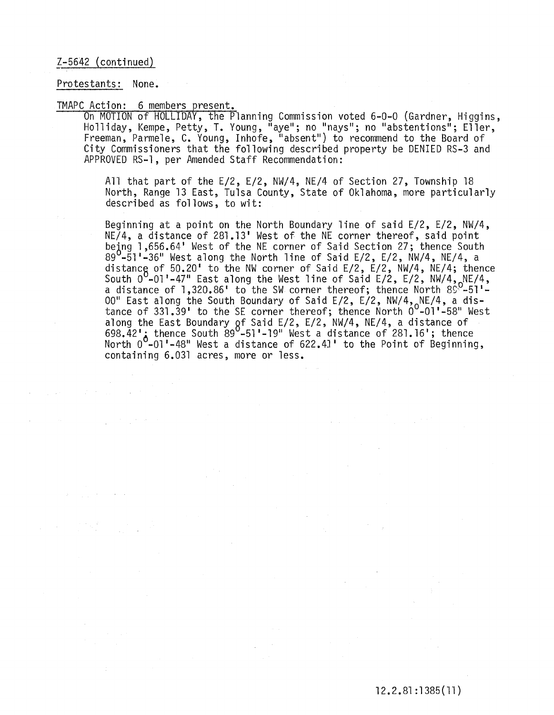# Z-5642 (continued)

#### Protestants: None.

TMAPC Action: 6 members present.<br>On MOTION of HOLLIDAY, the Planning Commission voted 6-0-0 (Gardner, Higgins,<br>Holliday, Kempe, Petty, T. Young, "aye"; no "nays"; no "abstentions"; Eller, Freeman, Parmele, C. Young, Inhofe, "absent") to recommend to the Board of City Commissioners that the following described property be DENIED RS-3 and APPROVED RS-l, per Amended Staff Recommendation:

> All that part of the E/2, E/2, NW/4, NE/4 of Section 27, Township 18 North, Range 13 East, Tulsa County, State of Oklahoma, more particularly described as follows, to wit:

> Beginning at a point on the North Boundary line of said E/2, E/2, NW/4, NE/4, a distance of 281.13' West of the NE corner thereof, said point being 1,656.64' West of the NE corner of Said Section 27; thence South 89 $^{\sf 0}$ -5̃1'-36" West along the North line of Said E/2, E/2, NW/4, NE/4, a distance of 50.20' to the NW corner of Said E/2, E/2, NW/4, NE/4; thence<br>South 0 -01'-47" East along the West line of Said E/2, E/2, NW/4, NE/4, a distance of  $1,320.86$ ' to the SW corner thereof; thence North  $8\%$ -51' $\cdot$ 00" East along the South Boundary of Said E/2, E/2, NW/4,<sub>o</sub>NE/4, a distance of 331.39' to the SE corner thereof; thence North  $0^0$ -01'-58" West along the East Boundary  $\mathsf{gf}$  Said E/2, E/2, NW/4, NE/4, a distance of  $698.42'$ ; thence South  $89^{\circ}$ -51'-19" West a distance of 281.16'; thence North  $0^{\circ}$ -01'-48" West a distance of 622.41' to the Point of Beginning, containing 6.031 acres, more or less.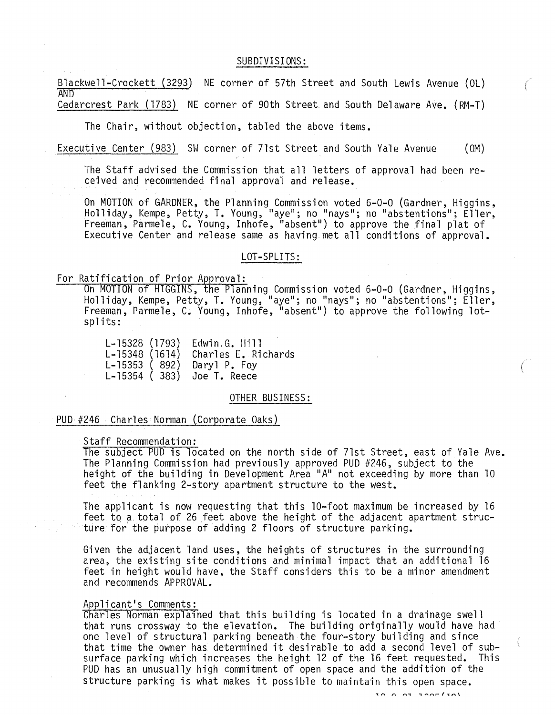#### SUBDIVISIONS:

Blackwell-Crockett (3293) NE corner of 57th Street and South Lewis Avenue (OL) **AND** Cedarcrest Park (1783) NE corner of 90th Street and South Delaware Ave. (RM-T)

The Chair, without objection, tabled the above items.

Executive Center (983) SW corner of 71st Street and South Yale Avenue (OM)

The Staff advised the Commission that all letters of approval had been received and recommended final approval and release.

On MOTION of GARDNER, the Planning Commission voted 6-0-0 (Gardner, Higgins,<br>Holliday, Kempe, Petty, T. Young, "aye"; no "nays"; no "abstentions"; Eller, Freeman, Parmele, C. Young, Inhofe, "absent") to approve the final plat of Executive Center and release same as having met all conditions of approval.

#### LOT-SPLITS:

For Ratification of Prior Approval:<br>On MOTION of HIGGINS, the Planning Commission voted 6-0-0 (Gardner, Higgins,<br>Holliday, Kempe, Petty, T. Young, "aye"; no "nays"; no "abstentions"; Eller, Freeman, Parmele, C. Young, Inhofe, "absent") to approve the following lotspl its:

> L-15328 (1793) L-15348 (1614) L-15353 ( 892) L-15354 ( 383) Edwin.G. Hill Charles E. Richards Daryl P. Foy Joe T. Reece

#### OTHER BUSINESS:

### PUD #246 Charles Norman (Corporate Oaks)

#### Staff Recommendation:

The subject PUD is located on the north side of 71st Street, east of Yale Ave. The Planning Commission had previously approved PUD #246, subject to the height of the building in Development Area "A" not exceeding by more than 10 feet the flanking 2-story apartment structure to the west.

The applicant is now requesting that this 10-foot maximum be increased by 16 feet to a. total of 26 feet above the height of the adjacent apartment structure for the purpose of adding 2 floors of structure parking.

Given the adjacent land uses, the heights of structures in the surrounding area, the existing site conditions and minimal impact that an additional 16 feet in height would have, the Staff considers this to be a minor amendment and recommends APPROVAL.

#### Applicant's Comments:

Charles Norman explained that this building is located in a drainage swell that runs crossway to the elevation. The building originally would have had one level of structural parking beneath the four-story building and since that time the owner has determined it desirable to add a second level of subsurface parking which increases the height 12 of the 16 feet requested. This PUD has an unusually high commitment of open space and the addition of the structure parking is what makes it possible to maintain this open space.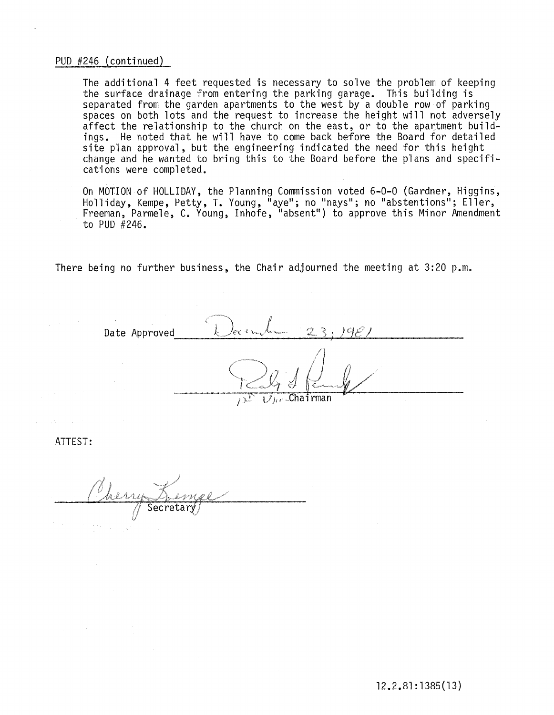# PUD #246 (continued)

The additional 4 feet requested is necessary to solve the problem of keeping the surface drainage from entering the parking garage. This building is separated from the garden apartments to the west by a double row of parking spaces on both lots and the request to increase the height will not adversely affect the relationship to the church on the east, or to the apartment buildings. He noted that he will have to come back before the Board for detailed site plan approval, but the engineering indicated the need for this height change and he wanted to bring this to the Board before the plans and specifications were completed.

On MOTION of HOLLIDAY, the Planning Commission voted 6-0-0 (Gardner, Higgins, Holliday, Kempe, Petty, T. Young, "aye"; no "nays"; no "abstentions"; Eller, Freeman, Parmele, C. Young, Inhofe, "absent") to approve this Minor Amendment to PUD #246.

There being no further business, the Chair adjourned the meeting at 3:20 p.m.

Date Approved  $L^{/e\epsilon\epsilon\epsilon\mu\lambda\epsilon}$  23, 19*21* .Chairman

ATTEST: